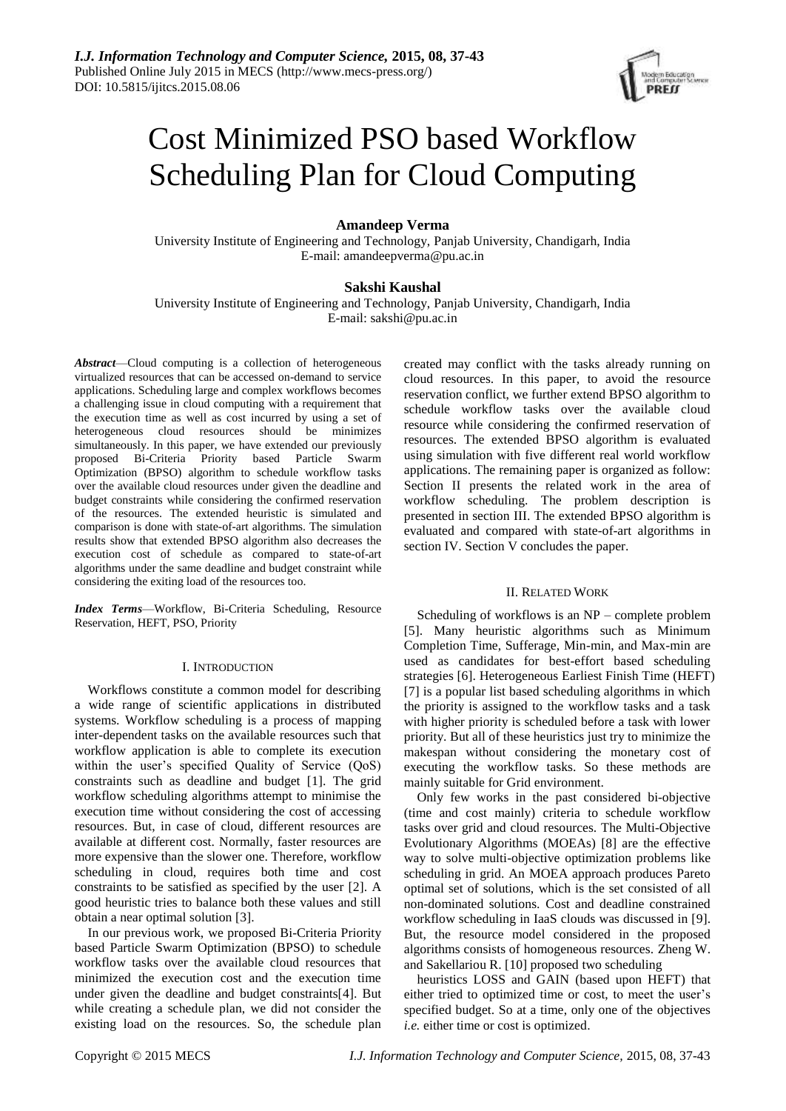

# Cost Minimized PSO based Workflow Scheduling Plan for Cloud Computing

# **Amandeep Verma**

University Institute of Engineering and Technology, Panjab University, Chandigarh, India E-mail: amandeepverma@pu.ac.in

# **Sakshi Kaushal**

University Institute of Engineering and Technology, Panjab University, Chandigarh, India E-mail: sakshi@pu.ac.in

*Abstract*—Cloud computing is a collection of heterogeneous virtualized resources that can be accessed on-demand to service applications. Scheduling large and complex workflows becomes a challenging issue in cloud computing with a requirement that the execution time as well as cost incurred by using a set of heterogeneous cloud resources should be minimizes simultaneously. In this paper, we have extended our previously proposed Bi-Criteria Priority based Particle Swarm Optimization (BPSO) algorithm to schedule workflow tasks over the available cloud resources under given the deadline and budget constraints while considering the confirmed reservation of the resources. The extended heuristic is simulated and comparison is done with state-of-art algorithms. The simulation results show that extended BPSO algorithm also decreases the execution cost of schedule as compared to state-of-art algorithms under the same deadline and budget constraint while considering the exiting load of the resources too.

*Index Terms*—Workflow, Bi-Criteria Scheduling, Resource Reservation, HEFT, PSO, Priority

# I. INTRODUCTION

Workflows constitute a common model for describing a wide range of scientific applications in distributed systems. Workflow scheduling is a process of mapping inter-dependent tasks on the available resources such that workflow application is able to complete its execution within the user's specified Quality of Service (QoS) constraints such as deadline and budget [1]. The grid workflow scheduling algorithms attempt to minimise the execution time without considering the cost of accessing resources. But, in case of cloud, different resources are available at different cost. Normally, faster resources are more expensive than the slower one. Therefore, workflow scheduling in cloud, requires both time and cost constraints to be satisfied as specified by the user [2]. A good heuristic tries to balance both these values and still obtain a near optimal solution [3].

In our previous work, we proposed Bi-Criteria Priority based Particle Swarm Optimization (BPSO) to schedule workflow tasks over the available cloud resources that minimized the execution cost and the execution time under given the deadline and budget constraints[4]. But while creating a schedule plan, we did not consider the existing load on the resources. So, the schedule plan created may conflict with the tasks already running on cloud resources. In this paper, to avoid the resource reservation conflict, we further extend BPSO algorithm to schedule workflow tasks over the available cloud resource while considering the confirmed reservation of resources. The extended BPSO algorithm is evaluated using simulation with five different real world workflow applications. The remaining paper is organized as follow: Section II presents the related work in the area of workflow scheduling. The problem description is presented in section III. The extended BPSO algorithm is evaluated and compared with state-of-art algorithms in section IV. Section V concludes the paper.

## II. RELATED WORK

Scheduling of workflows is an NP – complete problem [5]. Many heuristic algorithms such as Minimum Completion Time, Sufferage, Min-min, and Max-min are used as candidates for best-effort based scheduling strategies [6]. Heterogeneous Earliest Finish Time (HEFT) [7] is a popular list based scheduling algorithms in which the priority is assigned to the workflow tasks and a task with higher priority is scheduled before a task with lower priority. But all of these heuristics just try to minimize the makespan without considering the monetary cost of executing the workflow tasks. So these methods are mainly suitable for Grid environment.

Only few works in the past considered bi-objective (time and cost mainly) criteria to schedule workflow tasks over grid and cloud resources. The Multi-Objective Evolutionary Algorithms (MOEAs) [8] are the effective way to solve multi-objective optimization problems like scheduling in grid. An MOEA approach produces Pareto optimal set of solutions, which is the set consisted of all non-dominated solutions. Cost and deadline constrained workflow scheduling in IaaS clouds was discussed in [9]. But, the resource model considered in the proposed algorithms consists of homogeneous resources. Zheng W. and Sakellariou R. [10] proposed two scheduling

heuristics LOSS and GAIN (based upon HEFT) that either tried to optimized time or cost, to meet the user's specified budget. So at a time, only one of the objectives *i.e.* either time or cost is optimized.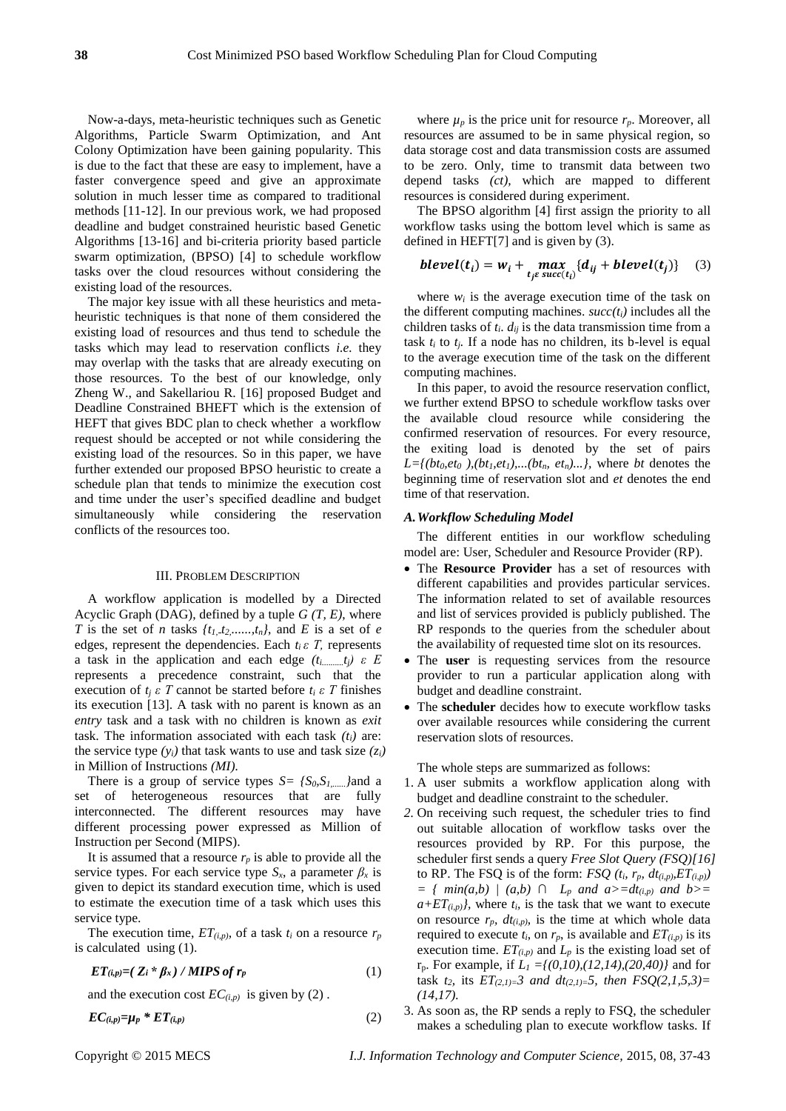Now-a-days, meta-heuristic techniques such as Genetic Algorithms, Particle Swarm Optimization, and Ant Colony Optimization have been gaining popularity. This is due to the fact that these are easy to implement, have a faster convergence speed and give an approximate solution in much lesser time as compared to traditional methods [11-12]. In our previous work, we had proposed deadline and budget constrained heuristic based Genetic Algorithms [13-16] and bi-criteria priority based particle swarm optimization, (BPSO) [4] to schedule workflow tasks over the cloud resources without considering the existing load of the resources.

The major key issue with all these heuristics and metaheuristic techniques is that none of them considered the existing load of resources and thus tend to schedule the tasks which may lead to reservation conflicts *i.e.* they may overlap with the tasks that are already executing on those resources. To the best of our knowledge, only Zheng W., and Sakellariou R. [16] proposed Budget and Deadline Constrained BHEFT which is the extension of HEFT that gives BDC plan to check whether a workflow request should be accepted or not while considering the existing load of the resources. So in this paper, we have further extended our proposed BPSO heuristic to create a schedule plan that tends to minimize the execution cost and time under the user's specified deadline and budget simultaneously while considering the reservation conflicts of the resources too.

#### III. PROBLEM DESCRIPTION

A workflow application is modelled by a Directed Acyclic Graph (DAG), defined by a tuple *G (T, E)*, where *T* is the set of *n* tasks  $\{t_1, t_2, \ldots, t_n\}$ , and *E* is a set of *e* edges, represent the dependencies. Each  $t_i \varepsilon$  *T*, represents a task in the application and each edge *(ti..........tj) ε E* represents a precedence constraint, such that the execution of  $t_i \varepsilon T$  cannot be started before  $t_i \varepsilon T$  finishes its execution [13]. A task with no parent is known as an *entry* task and a task with no children is known as *exit* task. The information associated with each task *(ti)* are: the service type  $(y_i)$  that task wants to use and task size  $(z_i)$ in Million of Instructions *(MI).*

There is a group of service types  $S = \{S_0, S_1, \ldots, S_n\}$  and a set of heterogeneous resources that are fully interconnected. The different resources may have different processing power expressed as Million of Instruction per Second (MIPS).

It is assumed that a resource  $r_p$  is able to provide all the service types. For each service type  $S_x$ , a parameter  $\beta_x$  is given to depict its standard execution time, which is used to estimate the execution time of a task which uses this service type.

The execution time,  $ET_{(i,p)}$  of a task  $t_i$  on a resource  $r_p$ is calculated using (1).

*ET*<sub>(*i,p*)<sup>*=*</sup>(*Z<sub>i</sub>*  $*$   $\beta$ *x*) */ MIPS of r<sub>p</sub>* (1)</sub>

and the execution cost  $EC_{(i,p)}$  is given by (2).

$$
EC_{(i,p)} = \mu_p * ET_{(i,p)} \tag{2}
$$

where  $\mu_p$  is the price unit for resource  $r_p$ . Moreover, all resources are assumed to be in same physical region, so data storage cost and data transmission costs are assumed to be zero. Only, time to transmit data between two depend tasks *(ct),* which are mapped to different resources is considered during experiment.

The BPSO algorithm [4] first assign the priority to all workflow tasks using the bottom level which is same as defined in HEFT[7] and is given by (3).

$$
blevel(t_i) = w_i + \max_{t_j \in succ(t_i)} \{d_{ij} + blevel(t_j)\} \quad (3)
$$

where  $w_i$  is the average execution time of the task on the different computing machines. *succ(ti)* includes all the children tasks of  $t_i$ .  $d_{ij}$  is the data transmission time from a task  $t_i$  to  $t_j$ . If a node has no children, its b-level is equal to the average execution time of the task on the different computing machines.

In this paper, to avoid the resource reservation conflict, we further extend BPSO to schedule workflow tasks over the available cloud resource while considering the confirmed reservation of resources. For every resource, the exiting load is denoted by the set of pairs  $L = \{(bt_0, et_0), (bt_1, et_1), \ldots, (bt_n, et_n), \ldots\}$ , where *bt* denotes the beginning time of reservation slot and *et* denotes the end time of that reservation.

### *A.Workflow Scheduling Model*

The different entities in our workflow scheduling model are: User, Scheduler and Resource Provider (RP).

- The **Resource Provider** has a set of resources with different capabilities and provides particular services. The information related to set of available resources and list of services provided is publicly published. The RP responds to the queries from the scheduler about the availability of requested time slot on its resources.
- The **user** is requesting services from the resource provider to run a particular application along with budget and deadline constraint.
- The **scheduler** decides how to execute workflow tasks over available resources while considering the current reservation slots of resources.

The whole steps are summarized as follows:

- 1. A user submits a workflow application along with budget and deadline constraint to the scheduler.
- *2.* On receiving such request, the scheduler tries to find out suitable allocation of workflow tasks over the resources provided by RP. For this purpose, the scheduler first sends a query *Free Slot Query (FSQ)[16]* to RP. The FSQ is of the form: *FSQ*  $(t_i, r_p, dt_{(i,p)}, ET_{(i,p)})$ *= { min(a,b) | (a,b) ∩ L<sup>p</sup> and a>=dt(i,p) and b>=*   $a + ET_{(i,p)}$ , where  $t_i$ , is the task that we want to execute on resource  $r_p$ ,  $dt_{(i,p)}$ , is the time at which whole data required to execute  $t_i$ , on  $r_p$ , is available and  $ET_{(i,p)}$  is its execution time.  $ET_{(i,p)}$  and  $L_p$  is the existing load set of rp. For example, if *L<sup>1</sup> ={(0,10),(12,14),(20,40)}* and for task  $t_2$ , its  $ET_{(2,1)=}3$  and  $dt_{(2,1)=}5$ , then  $FSQ(2,1,5,3)=$ *(14,17).*
- 3. As soon as, the RP sends a reply to FSQ, the scheduler makes a scheduling plan to execute workflow tasks. If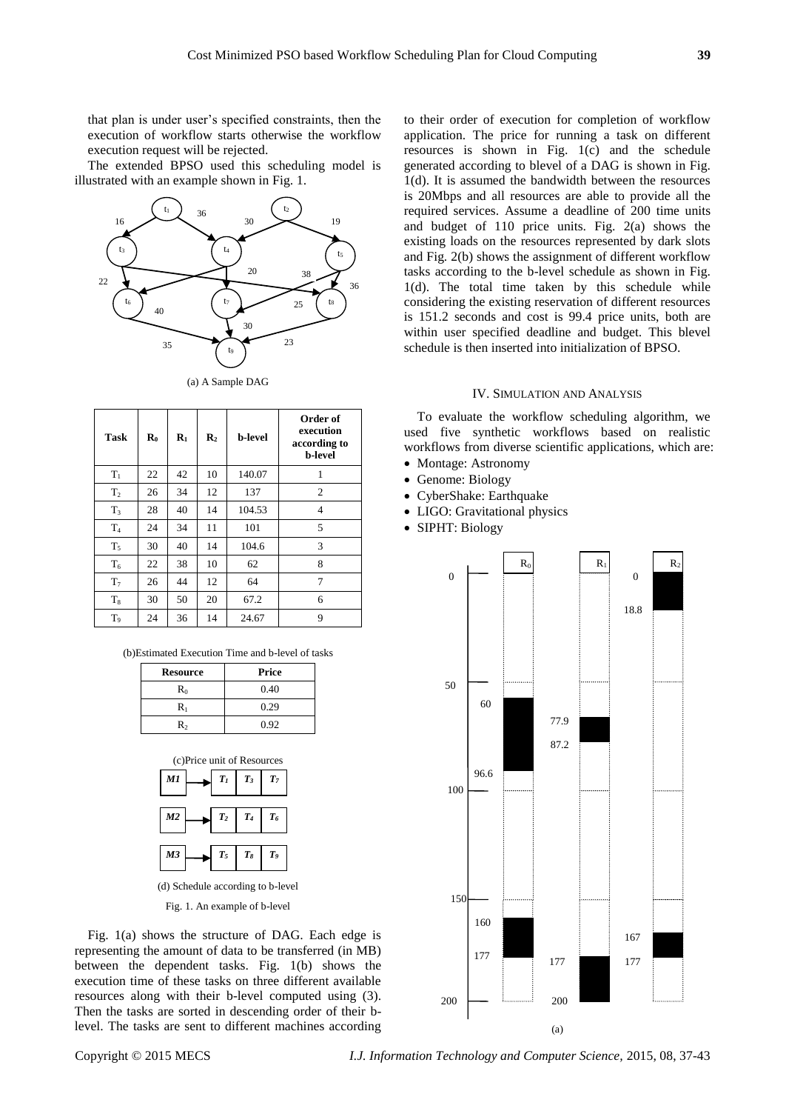that plan is under user's specified constraints, then the execution of workflow starts otherwise the workflow execution request will be rejected.

The extended BPSO used this scheduling model is illustrated with an example shown in Fig. 1.



(a) A Sample DAG

| Task           | $\mathbf{R}_0$ | $\mathbf{R}_1$ | $\mathbf{R}_2$ | <b>b-level</b> | Order of<br>execution<br>according to<br><b>b-level</b> |
|----------------|----------------|----------------|----------------|----------------|---------------------------------------------------------|
| $T_1$          | 22             | 42             | 10             | 140.07         | 1                                                       |
| T <sub>2</sub> | 26             | 34             | 12             | 137            | $\overline{c}$                                          |
| $T_3$          | 28             | 40             | 14             | 104.53         | $\overline{4}$                                          |
| $T_4$          | 24             | 34             | 11             | 101            | 5                                                       |
| $T_5$          | 30             | 40             | 14             | 104.6          | 3                                                       |
| $T_6$          | 22             | 38             | 10             | 62             | 8                                                       |
| T <sub>7</sub> | 26             | 44             | 12             | 64             | 7                                                       |
| $T_8$          | 30             | 50             | 20             | 67.2           | 6                                                       |
| T <sub>9</sub> | 24             | 36             | 14             | 24.67          | 9                                                       |

(b)Estimated Execution Time and b-level of tasks

| <b>Resource</b> | Price |
|-----------------|-------|
| $R_0$           | 0.40  |
| R۱              | 0.29  |
| R۰              | 0.92  |



Fig. 1. An example of b-level

Fig. 1(a) shows the structure of DAG. Each edge is representing the amount of data to be transferred (in MB) between the dependent tasks. Fig. 1(b) shows the execution time of these tasks on three different available resources along with their b-level computed using (3). Then the tasks are sorted in descending order of their blevel. The tasks are sent to different machines according to their order of execution for completion of workflow application. The price for running a task on different resources is shown in Fig. 1(c) and the schedule generated according to blevel of a DAG is shown in Fig. 1(d). It is assumed the bandwidth between the resources is 20Mbps and all resources are able to provide all the required services. Assume a deadline of 200 time units and budget of 110 price units. Fig. 2(a) shows the existing loads on the resources represented by dark slots and Fig. 2(b) shows the assignment of different workflow tasks according to the b-level schedule as shown in Fig. 1(d). The total time taken by this schedule while considering the existing reservation of different resources is 151.2 seconds and cost is 99.4 price units, both are within user specified deadline and budget. This blevel schedule is then inserted into initialization of BPSO.

## IV. SIMULATION AND ANALYSIS

To evaluate the workflow scheduling algorithm, we used five synthetic workflows based on realistic workflows from diverse scientific applications, which are:

- Montage: Astronomy
- Genome: Biology
- CyberShake: Earthquake
- LIGO: Gravitational physics
- SIPHT: Biology

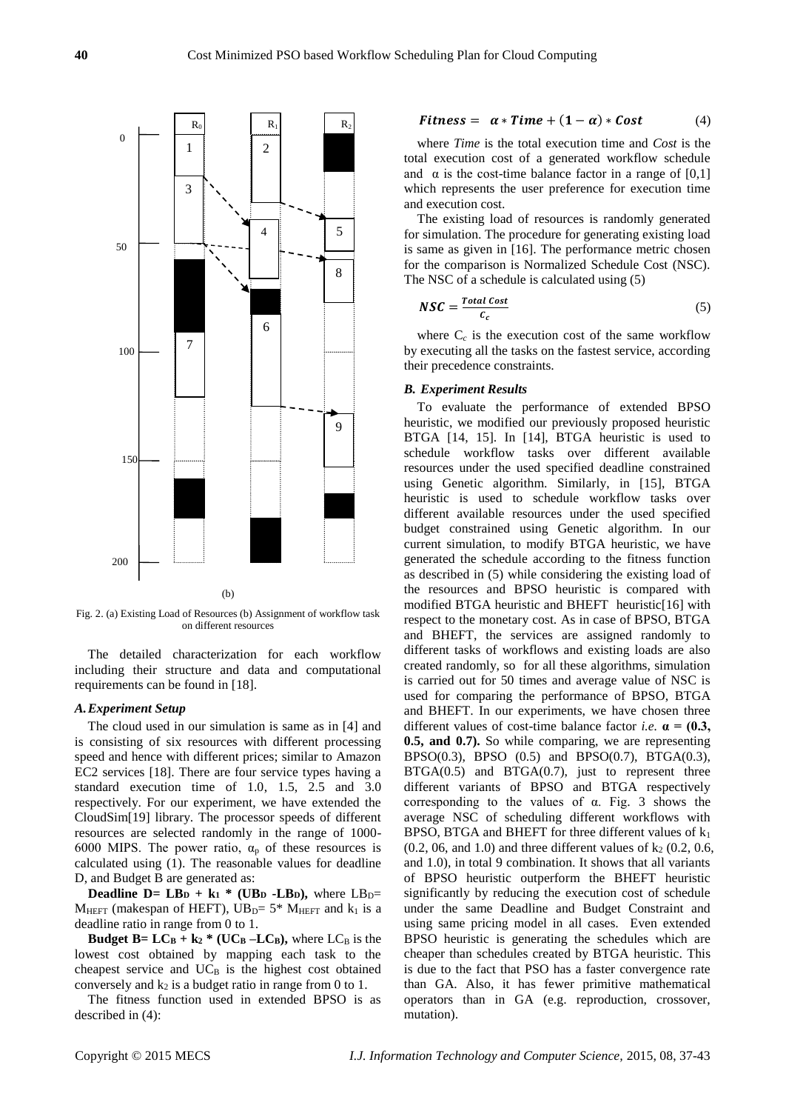

Fig. 2. (a) Existing Load of Resources (b) Assignment of workflow task on different resources

The detailed characterization for each workflow including their structure and data and computational requirements can be found in [18].

# *A.Experiment Setup*

The cloud used in our simulation is same as in [4] and is consisting of six resources with different processing speed and hence with different prices; similar to Amazon EC2 services [18]. There are four service types having a standard execution time of 1.0, 1.5, 2.5 and 3.0 respectively. For our experiment, we have extended the CloudSim[19] library. The processor speeds of different resources are selected randomly in the range of 1000- 6000 MIPS. The power ratio,  $\alpha_p$  of these resources is calculated using (1). The reasonable values for deadline D, and Budget B are generated as:

**Deadline D= LBD** +  $k_1$ <sup>\*</sup> (UB<sub>D</sub>  $-LB_0$ ), where LB<sub>D</sub>=  $M_{HEFT}$  (makespan of HEFT), UB<sub>D</sub>= 5\* M<sub>HEFT</sub> and k<sub>1</sub> is a deadline ratio in range from 0 to 1.

**Budget B=**  $LC_B + k_2$   $*$  (UC<sub>B</sub>  $-LC_B$ ), where  $LC_B$  is the lowest cost obtained by mapping each task to the cheapest service and  $UC_B$  is the highest cost obtained conversely and  $k_2$  is a budget ratio in range from 0 to 1.

The fitness function used in extended BPSO is as described in (4):

$$
Fitness = \alpha * Time + (1 - \alpha) * Cost \tag{4}
$$

where *Time* is the total execution time and *Cost* is the total execution cost of a generated workflow schedule and  $\alpha$  is the cost-time balance factor in a range of [0,1] which represents the user preference for execution time and execution cost.

The existing load of resources is randomly generated for simulation. The procedure for generating existing load is same as given in [16]. The performance metric chosen for the comparison is Normalized Schedule Cost (NSC). The NSC of a schedule is calculated using (5)

$$
NSC = \frac{Total Cost}{c_c} \tag{5}
$$

where  $C_c$  is the execution cost of the same workflow by executing all the tasks on the fastest service, according their precedence constraints.

## *B. Experiment Results*

To evaluate the performance of extended BPSO heuristic, we modified our previously proposed heuristic BTGA [14, 15]. In [14], BTGA heuristic is used to schedule workflow tasks over different available resources under the used specified deadline constrained using Genetic algorithm. Similarly, in [15], BTGA heuristic is used to schedule workflow tasks over different available resources under the used specified budget constrained using Genetic algorithm. In our current simulation, to modify BTGA heuristic, we have generated the schedule according to the fitness function as described in (5) while considering the existing load of the resources and BPSO heuristic is compared with modified BTGA heuristic and BHEFT heuristic[16] with respect to the monetary cost. As in case of BPSO, BTGA and BHEFT, the services are assigned randomly to different tasks of workflows and existing loads are also created randomly, so for all these algorithms, simulation is carried out for 50 times and average value of NSC is used for comparing the performance of BPSO, BTGA and BHEFT. In our experiments, we have chosen three different values of cost-time balance factor *i.e.*  $\alpha = (0.3,$ **0.5, and 0.7).** So while comparing, we are representing BPSO(0.3), BPSO (0.5) and BPSO(0.7), BTGA(0.3), BTGA(0.5) and BTGA(0.7), just to represent three different variants of BPSO and BTGA respectively corresponding to the values of α. Fig. 3 shows the average NSC of scheduling different workflows with BPSO, BTGA and BHEFT for three different values of  $k_1$  $(0.2, 0.6, \text{ and } 1.0)$  and three different values of  $k_2$   $(0.2, 0.6, \text{)}$ and 1.0), in total 9 combination. It shows that all variants of BPSO heuristic outperform the BHEFT heuristic significantly by reducing the execution cost of schedule under the same Deadline and Budget Constraint and using same pricing model in all cases. Even extended BPSO heuristic is generating the schedules which are cheaper than schedules created by BTGA heuristic. This is due to the fact that PSO has a faster convergence rate than GA. Also, it has fewer primitive mathematical operators than in GA (e.g. reproduction, crossover, mutation).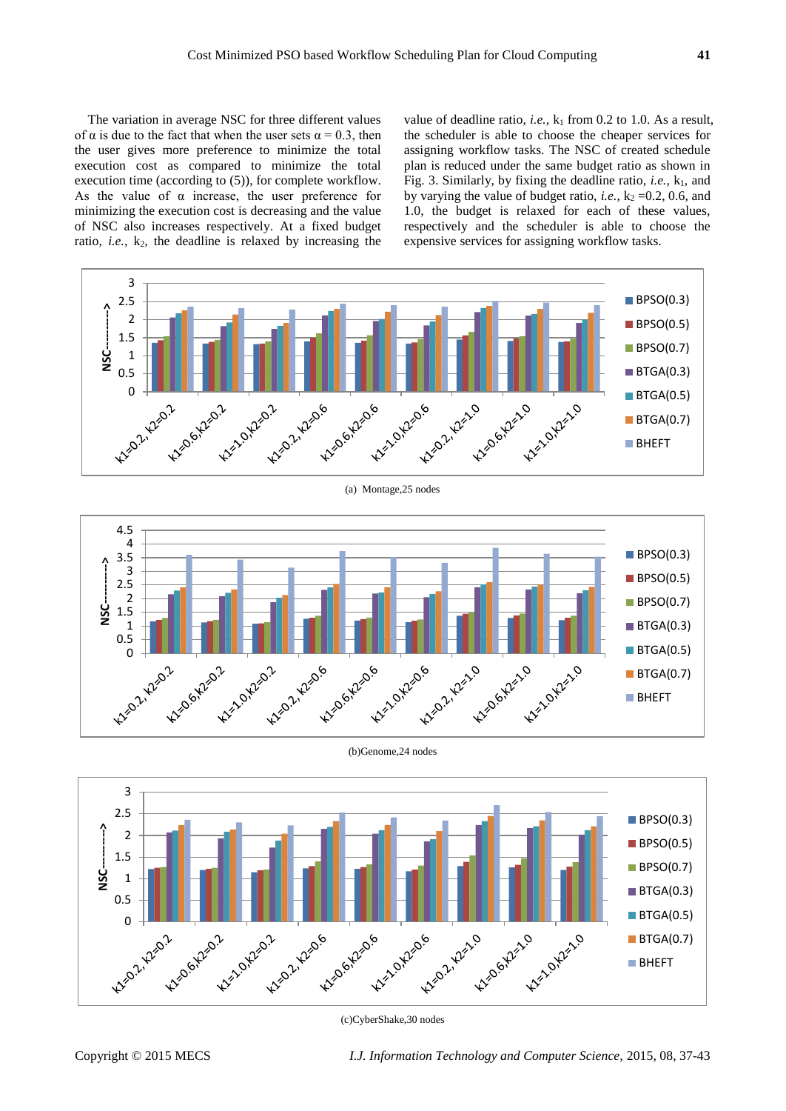The variation in average NSC for three different values of  $\alpha$  is due to the fact that when the user sets  $\alpha = 0.3$ , then the user gives more preference to minimize the total execution cost as compared to minimize the total execution time (according to (5)), for complete workflow. As the value of  $\alpha$  increase, the user preference for minimizing the execution cost is decreasing and the value of NSC also increases respectively. At a fixed budget ratio, *i.e.*,  $k_2$ , the deadline is relaxed by increasing the value of deadline ratio, *i.e.*,  $k_1$  from 0.2 to 1.0. As a result, the scheduler is able to choose the cheaper services for assigning workflow tasks. The NSC of created schedule plan is reduced under the same budget ratio as shown in Fig. 3. Similarly, by fixing the deadline ratio, *i.e.*,  $k_1$ , and by varying the value of budget ratio, *i.e.*,  $k_2 = 0.2$ , 0.6, and 1.0, the budget is relaxed for each of these values, respectively and the scheduler is able to choose the expensive services for assigning workflow tasks.







(b)Genome,24 nodes



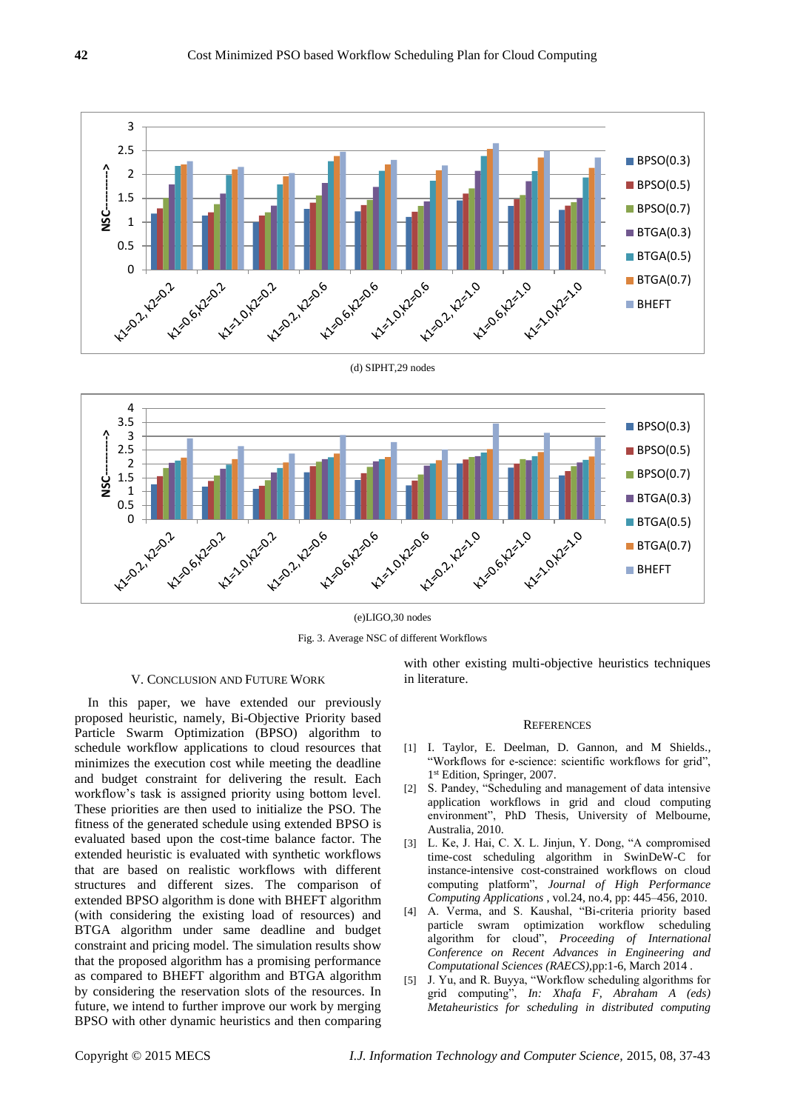





(e)LIGO,30 nodes Fig. 3. Average NSC of different Workflows

## V. CONCLUSION AND FUTURE WORK

In this paper, we have extended our previously proposed heuristic, namely, Bi-Objective Priority based Particle Swarm Optimization (BPSO) algorithm to schedule workflow applications to cloud resources that minimizes the execution cost while meeting the deadline and budget constraint for delivering the result. Each workflow's task is assigned priority using bottom level. These priorities are then used to initialize the PSO. The fitness of the generated schedule using extended BPSO is evaluated based upon the cost-time balance factor. The extended heuristic is evaluated with synthetic workflows that are based on realistic workflows with different structures and different sizes. The comparison of extended BPSO algorithm is done with BHEFT algorithm (with considering the existing load of resources) and BTGA algorithm under same deadline and budget constraint and pricing model. The simulation results show that the proposed algorithm has a promising performance as compared to BHEFT algorithm and BTGA algorithm by considering the reservation slots of the resources. In future, we intend to further improve our work by merging BPSO with other dynamic heuristics and then comparing

with other existing multi-objective heuristics techniques in literature.

#### **REFERENCES**

- [1] I. Taylor, E. Deelman, D. Gannon, and M Shields*.,* "Workflows for e-science: scientific workflows for grid", 1 st Edition, Springer, 2007.
- [2] S. Pandey, "Scheduling and management of data intensive application workflows in grid and cloud computing environment", PhD Thesis, University of Melbourne, Australia, 2010.
- [3] L. Ke, J. Hai, C. X. L. Jinjun, Y. Dong, "A compromised time-cost scheduling algorithm in SwinDeW-C for instance-intensive cost-constrained workflows on cloud computing platform", *Journal of High Performance Computing Applications* , vol.24, no.4, pp: 445–456, 2010.
- [4] A. Verma, and S. Kaushal, "Bi-criteria priority based particle swram optimization workflow scheduling algorithm for cloud", *Proceeding of International Conference on Recent Advances in Engineering and Computational Sciences (RAECS),*pp:1-6, March 2014 .
- [5] J. Yu, and R. Buyya, "Workflow scheduling algorithms for grid computing", *In: Xhafa F, Abraham A (eds) Metaheuristics for scheduling in distributed computing*